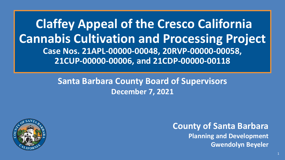**Claffey Appeal of the Cresco California Cannabis Cultivation and Processing Project Case Nos. 21APL-00000-00048, 20RVP-00000-00058, 21CUP-00000-00006, and 21CDP-00000-00118**

#### **Santa Barbara County Board of Supervisors December 7, 2021**



**County of Santa Barbara Planning and Development Gwendolyn Beyeler**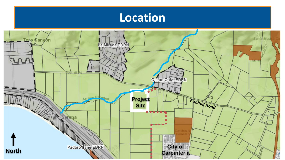

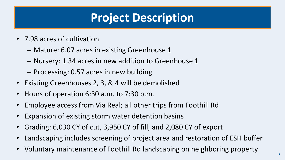# **Project Description**

- 7.98 acres of cultivation
	- Mature: 6.07 acres in existing Greenhouse 1
	- Nursery: 1.34 acres in new addition to Greenhouse 1
	- Processing: 0.57 acres in new building
- Existing Greenhouses 2, 3, & 4 will be demolished
- Hours of operation 6:30 a.m. to 7:30 p.m.
- Employee access from Via Real; all other trips from Foothill Rd
- Expansion of existing storm water detention basins
- Grading: 6,030 CY of cut, 3,950 CY of fill, and 2,080 CY of export
- Landscaping includes screening of project area and restoration of ESH buffer
- Voluntary maintenance of Foothill Rd landscaping on neighboring property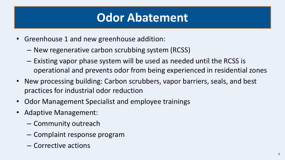# **Odor Abatement**

- Greenhouse 1 and new greenhouse addition:
	- New regenerative carbon scrubbing system (RCSS)
	- Existing vapor phase system will be used as needed until the RCSS is operational and prevents odor from being experienced in residential zones
- New processing building: Carbon scrubbers, vapor barriers, seals, and best practices for industrial odor reduction
- Odor Management Specialist and employee trainings
- Adaptive Management:
	- Community outreach
	- Complaint response program
	- Corrective actions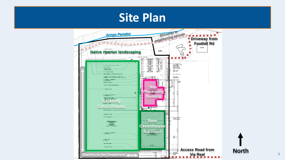### **Site Plan**



5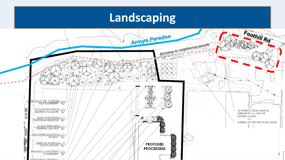### **Landscaping**

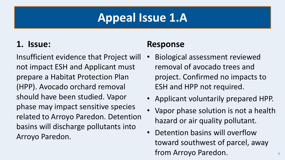### **Appeal Issue 1.A**

#### **1. Issue:**

Insufficient evidence that Project will not impact ESH and Applicant must prepare a Habitat Protection Plan (HPP). Avocado orchard removal should have been studied. Vapor phase may impact sensitive species related to Arroyo Paredon. Detention basins will discharge pollutants into Arroyo Paredon.

#### **Response**

- Biological assessment reviewed removal of avocado trees and project. Confirmed no impacts to ESH and HPP not required.
- Applicant voluntarily prepared HPP.
- Vapor phase solution is not a health hazard or air quality pollutant.
- Detention basins will overflow toward southwest of parcel, away from Arroyo Paredon.

7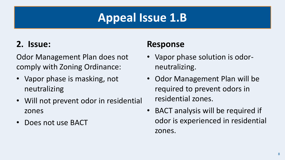# **Appeal Issue 1.B**

### **2. Issue:**

Odor Management Plan does not comply with Zoning Ordinance:

- Vapor phase is masking, not neutralizing
- Will not prevent odor in residential zones
- Does not use BACT

#### **Response**

- Vapor phase solution is odorneutralizing.
- Odor Management Plan will be required to prevent odors in residential zones.
- BACT analysis will be required if odor is experienced in residential zones.